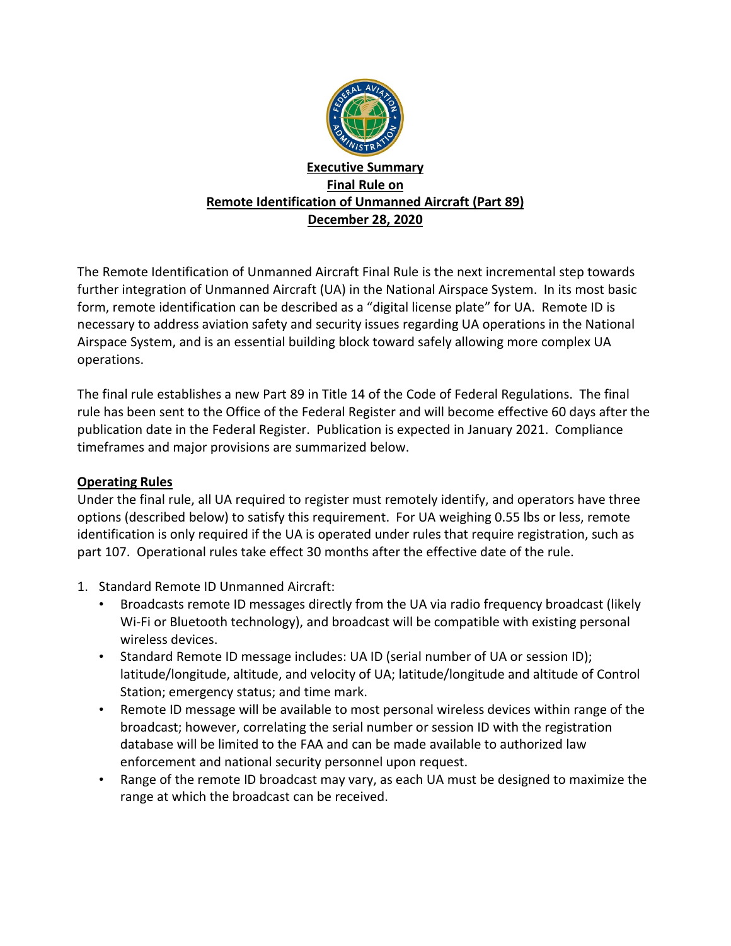

## **Executive Summary Final Rule on Remote Identification of Unmanned Aircraft (Part 89) December 28, 2020**

The Remote Identification of Unmanned Aircraft Final Rule is the next incremental step towards further integration of Unmanned Aircraft (UA) in the National Airspace System. In its most basic form, remote identification can be described as a "digital license plate" for UA. Remote ID is necessary to address aviation safety and security issues regarding UA operations in the National Airspace System, and is an essential building block toward safely allowing more complex UA operations.

The final rule establishes a new Part 89 in Title 14 of the Code of Federal Regulations. The final rule has been sent to the Office of the Federal Register and will become effective 60 days after the publication date in the Federal Register. Publication is expected in January 2021. Compliance timeframes and major provisions are summarized below.

## **Operating Rules**

Under the final rule, all UA required to register must remotely identify, and operators have three options (described below) to satisfy this requirement. For UA weighing 0.55 lbs or less, remote identification is only required if the UA is operated under rules that require registration, such as part 107. Operational rules take effect 30 months after the effective date of the rule.

- 1. Standard Remote ID Unmanned Aircraft:
	- Broadcasts remote ID messages directly from the UA via radio frequency broadcast (likely Wi-Fi or Bluetooth technology), and broadcast will be compatible with existing personal wireless devices.
	- Standard Remote ID message includes: UA ID (serial number of UA or session ID); latitude/longitude, altitude, and velocity of UA; latitude/longitude and altitude of Control Station; emergency status; and time mark.
	- Remote ID message will be available to most personal wireless devices within range of the broadcast; however, correlating the serial number or session ID with the registration database will be limited to the FAA and can be made available to authorized law enforcement and national security personnel upon request.
	- Range of the remote ID broadcast may vary, as each UA must be designed to maximize the range at which the broadcast can be received.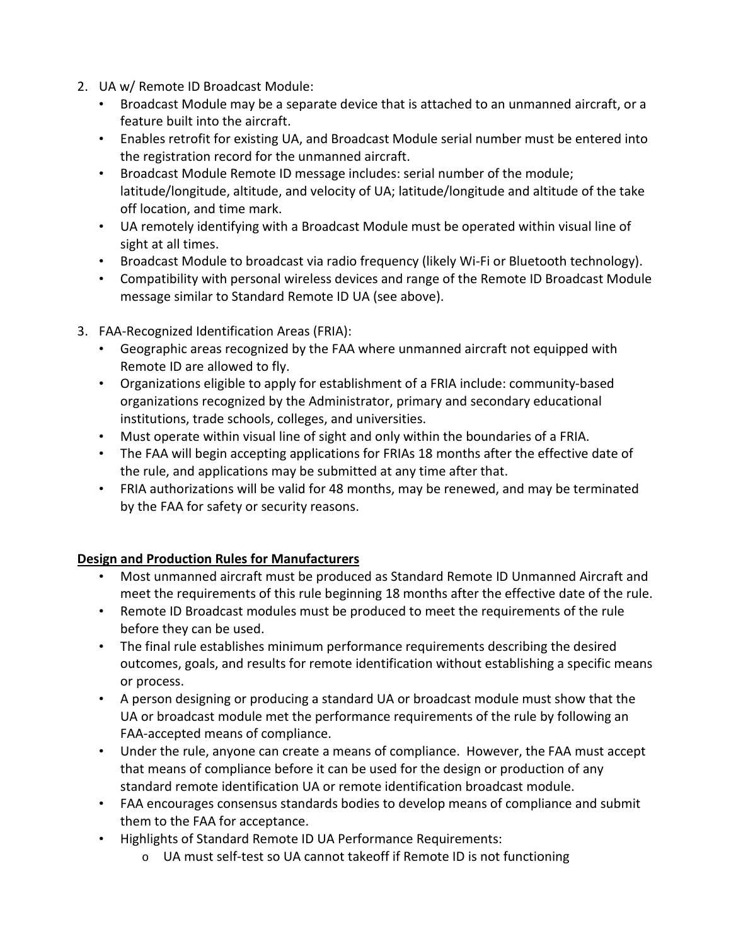- 2. UA w/ Remote ID Broadcast Module:
	- Broadcast Module may be a separate device that is attached to an unmanned aircraft, or a feature built into the aircraft.
	- Enables retrofit for existing UA, and Broadcast Module serial number must be entered into the registration record for the unmanned aircraft.
	- Broadcast Module Remote ID message includes: serial number of the module; latitude/longitude, altitude, and velocity of UA; latitude/longitude and altitude of the take off location, and time mark.
	- UA remotely identifying with a Broadcast Module must be operated within visual line of sight at all times.
	- Broadcast Module to broadcast via radio frequency (likely Wi-Fi or Bluetooth technology).
	- Compatibility with personal wireless devices and range of the Remote ID Broadcast Module message similar to Standard Remote ID UA (see above).
- 3. FAA-Recognized Identification Areas (FRIA):
	- Geographic areas recognized by the FAA where unmanned aircraft not equipped with Remote ID are allowed to fly.
	- Organizations eligible to apply for establishment of a FRIA include: community-based organizations recognized by the Administrator, primary and secondary educational institutions, trade schools, colleges, and universities.
	- Must operate within visual line of sight and only within the boundaries of a FRIA.
	- The FAA will begin accepting applications for FRIAs 18 months after the effective date of the rule, and applications may be submitted at any time after that.
	- FRIA authorizations will be valid for 48 months, may be renewed, and may be terminated by the FAA for safety or security reasons.

# **Design and Production Rules for Manufacturers**

- Most unmanned aircraft must be produced as Standard Remote ID Unmanned Aircraft and meet the requirements of this rule beginning 18 months after the effective date of the rule.
- Remote ID Broadcast modules must be produced to meet the requirements of the rule before they can be used.
- The final rule establishes minimum performance requirements describing the desired outcomes, goals, and results for remote identification without establishing a specific means or process.
- A person designing or producing a standard UA or broadcast module must show that the UA or broadcast module met the performance requirements of the rule by following an FAA-accepted means of compliance.
- Under the rule, anyone can create a means of compliance. However, the FAA must accept that means of compliance before it can be used for the design or production of any standard remote identification UA or remote identification broadcast module.
- FAA encourages consensus standards bodies to develop means of compliance and submit them to the FAA for acceptance.
- Highlights of Standard Remote ID UA Performance Requirements:
	- o UA must self-test so UA cannot takeoff if Remote ID is not functioning